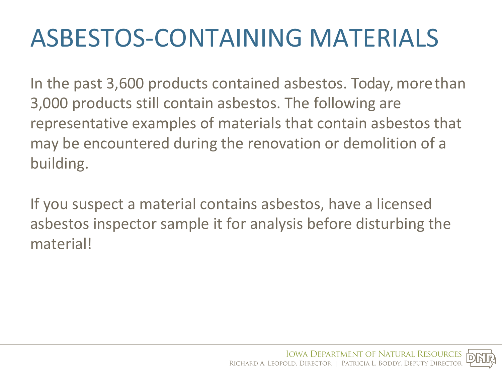# ASBESTOS-CONTAINING MATERIALS

In the past 3,600 products contained asbestos. Today, more than 3,000 products still contain asbestos. The following are representative examples of materials that contain asbestos that may be encountered during the renovation or demolition of a building.

If you suspect a material contains asbestos, have a licensed asbestos inspector sample it for analysis before disturbing the material!

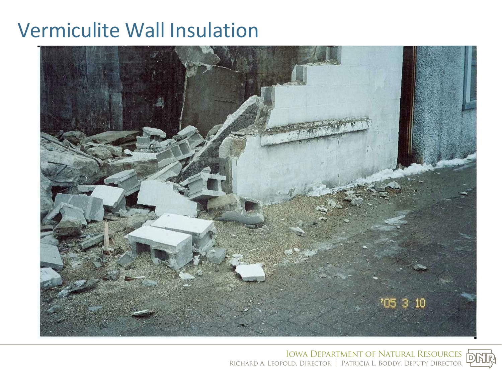#### Vermiculite Wall Insulation



IOWA **DEPARTMENT OF NATURAL** RESOURCES RICHARD A. LEOPOLD, DIRECTOR | PATRICIA L. BODDY, DEPUTY DIRECTOR

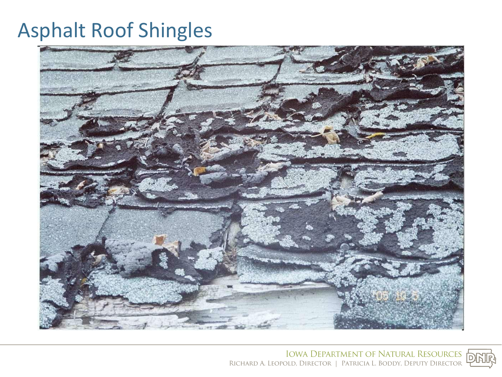# Asphalt Roof Shingles



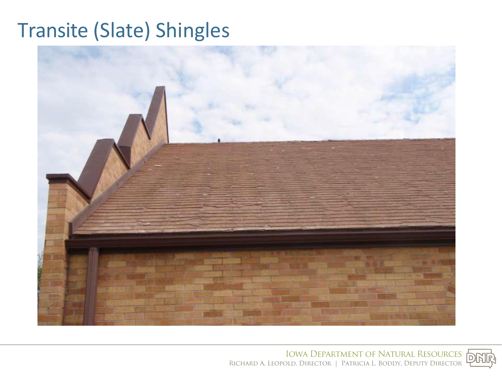# Transite (Slate) Shingles



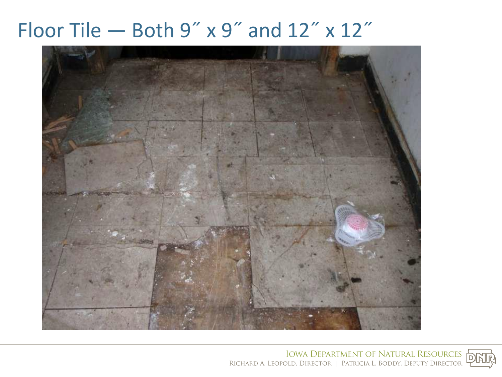#### Floor Tile — Both  $9''$  x  $9''$  and  $12''$  x  $12''$



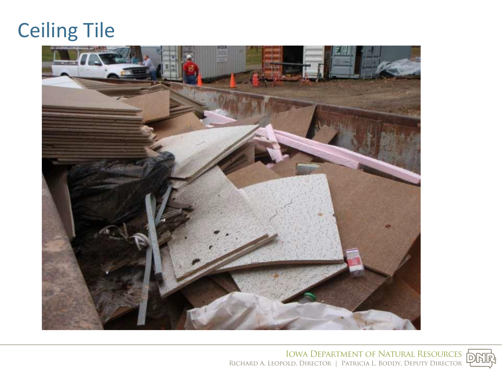## Ceiling Tile



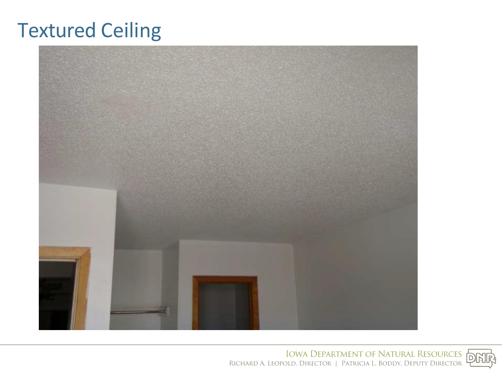## Textured Ceiling



R.ICHARD A. LEOPOLD, IOWA DIRECTOR **DEPARTMENT**  I PATRJCIA **OF**  L. BODDY, **NATURAL**  DEPUTY RESOURCES DIRECTOR